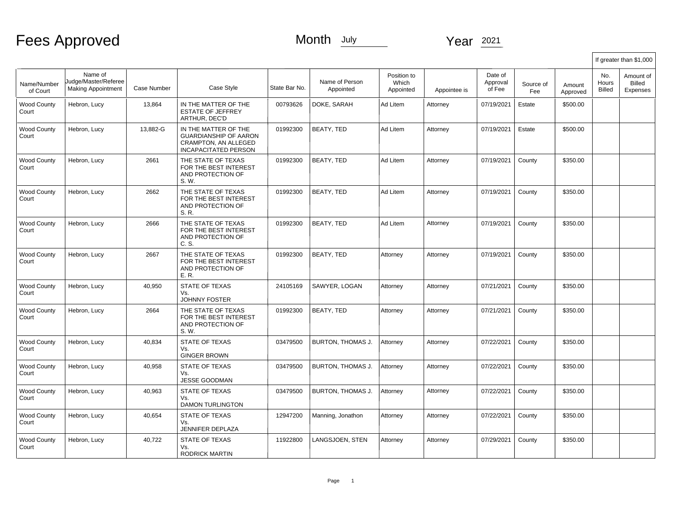Fees Approved

Month July Year 2021

|                             |                                                              |             |                                                                                                                    |               |                             |                                   |              |                               |                  |                    | If greater than \$1,000 |                                 |  |
|-----------------------------|--------------------------------------------------------------|-------------|--------------------------------------------------------------------------------------------------------------------|---------------|-----------------------------|-----------------------------------|--------------|-------------------------------|------------------|--------------------|-------------------------|---------------------------------|--|
| Name/Number<br>of Court     | Name of<br>Judge/Master/Referee<br><b>Making Appointment</b> | Case Number | Case Style                                                                                                         | State Bar No. | Name of Person<br>Appointed | Position to<br>Which<br>Appointed | Appointee is | Date of<br>Approval<br>of Fee | Source of<br>Fee | Amount<br>Approved | No.<br>Hours<br>Billed  | Amount of<br>Billed<br>Expenses |  |
| <b>Wood County</b><br>Court | Hebron, Lucy                                                 | 13,864      | IN THE MATTER OF THE<br><b>ESTATE OF JEFFREY</b><br>ARTHUR, DEC'D                                                  | 00793626      | DOKE, SARAH                 | Ad Litem                          | Attorney     | 07/19/2021                    | Estate           | \$500.00           |                         |                                 |  |
| Wood County<br>Court        | Hebron, Lucy                                                 | 13,882-G    | IN THE MATTER OF THE<br><b>GUARDIANSHIP OF AARON</b><br><b>CRAMPTON, AN ALLEGED</b><br><b>INCAPACITATED PERSON</b> | 01992300      | BEATY, TED                  | Ad Litem                          | Attorney     | 07/19/2021                    | Estate           | \$500.00           |                         |                                 |  |
| <b>Wood County</b><br>Court | Hebron, Lucy                                                 | 2661        | THE STATE OF TEXAS<br>FOR THE BEST INTEREST<br>AND PROTECTION OF<br>S. W.                                          | 01992300      | <b>BEATY, TED</b>           | Ad Litem                          | Attorney     | 07/19/2021                    | County           | \$350.00           |                         |                                 |  |
| <b>Wood County</b><br>Court | Hebron, Lucy                                                 | 2662        | THE STATE OF TEXAS<br>FOR THE BEST INTEREST<br>AND PROTECTION OF<br>S. R.                                          | 01992300      | BEATY, TED                  | Ad Litem                          | Attorney     | 07/19/2021                    | County           | \$350.00           |                         |                                 |  |
| <b>Wood County</b><br>Court | Hebron, Lucy                                                 | 2666        | THE STATE OF TEXAS<br>FOR THE BEST INTEREST<br>AND PROTECTION OF<br>C. S.                                          | 01992300      | <b>BEATY, TED</b>           | Ad Litem                          | Attorney     | 07/19/2021                    | County           | \$350.00           |                         |                                 |  |
| <b>Wood County</b><br>Court | Hebron, Lucy                                                 | 2667        | THE STATE OF TEXAS<br>FOR THE BEST INTEREST<br>AND PROTECTION OF<br>E.R.                                           | 01992300      | <b>BEATY, TED</b>           | Attorney                          | Attorney     | 07/19/2021                    | County           | \$350.00           |                         |                                 |  |
| <b>Wood County</b><br>Court | Hebron, Lucy                                                 | 40,950      | <b>STATE OF TEXAS</b><br>Vs.<br><b>JOHNNY FOSTER</b>                                                               | 24105169      | SAWYER, LOGAN               | Attorney                          | Attorney     | 07/21/2021                    | County           | \$350.00           |                         |                                 |  |
| <b>Wood County</b><br>Court | Hebron, Lucy                                                 | 2664        | THE STATE OF TEXAS<br>FOR THE BEST INTEREST<br>AND PROTECTION OF<br>S. W.                                          | 01992300      | <b>BEATY, TED</b>           | Attorney                          | Attorney     | 07/21/2021                    | County           | \$350.00           |                         |                                 |  |
| <b>Wood County</b><br>Court | Hebron, Lucy                                                 | 40,834      | STATE OF TEXAS<br>Vs.<br><b>GINGER BROWN</b>                                                                       | 03479500      | BURTON, THOMAS J.           | Attorney                          | Attorney     | 07/22/2021                    | County           | \$350.00           |                         |                                 |  |
| <b>Wood County</b><br>Court | Hebron, Lucy                                                 | 40,958      | STATE OF TEXAS<br>Vs.<br><b>JESSE GOODMAN</b>                                                                      | 03479500      | <b>BURTON, THOMAS J.</b>    | Attorney                          | Attorney     | 07/22/2021                    | County           | \$350.00           |                         |                                 |  |
| <b>Wood County</b><br>Court | Hebron, Lucy                                                 | 40,963      | <b>STATE OF TEXAS</b><br>Vs.<br><b>DAMON TURLINGTON</b>                                                            | 03479500      | BURTON, THOMAS J.           | Attorney                          | Attorney     | 07/22/2021                    | County           | \$350.00           |                         |                                 |  |
| <b>Wood County</b><br>Court | Hebron, Lucy                                                 | 40.654      | <b>STATE OF TEXAS</b><br>Vs.<br>JENNIFER DEPLAZA                                                                   | 12947200      | Manning, Jonathon           | Attorney                          | Attorney     | 07/22/2021                    | County           | \$350.00           |                         |                                 |  |
| <b>Wood County</b><br>Court | Hebron, Lucy                                                 | 40.722      | <b>STATE OF TEXAS</b><br>Vs.<br><b>RODRICK MARTIN</b>                                                              | 11922800      | LANGSJOEN. STEN             | Attorney                          | Attorney     | 07/29/2021                    | County           | \$350.00           |                         |                                 |  |